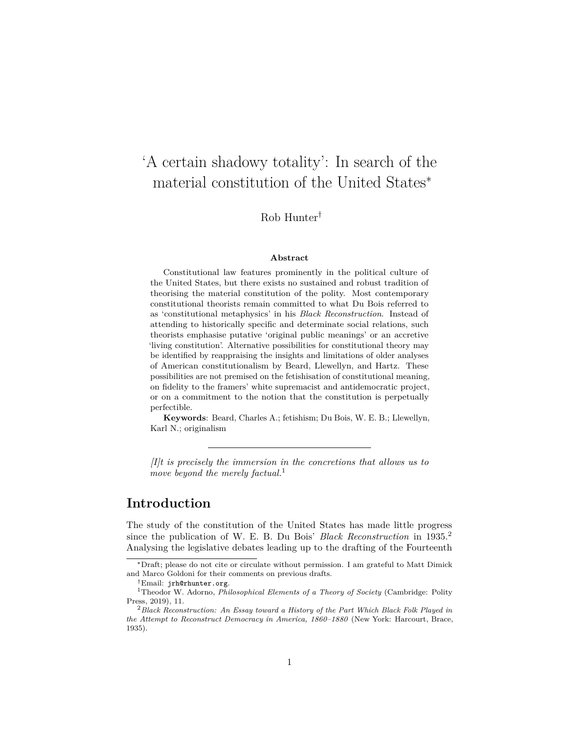# 'A certain shadowy totality': In search of the material constitution of the United States<sup>∗</sup>

Rob Hunter†

#### **Abstract**

Constitutional law features prominently in the political culture of the United States, but there exists no sustained and robust tradition of theorising the material constitution of the polity. Most contemporary constitutional theorists remain committed to what Du Bois referred to as 'constitutional metaphysics' in his *Black Reconstruction*. Instead of attending to historically specific and determinate social relations, such theorists emphasise putative 'original public meanings' or an accretive 'living constitution'. Alternative possibilities for constitutional theory may be identified by reappraising the insights and limitations of older analyses of American constitutionalism by Beard, Llewellyn, and Hartz. These possibilities are not premised on the fetishisation of constitutional meaning, on fidelity to the framers' white supremacist and antidemocratic project, or on a commitment to the notion that the constitution is perpetually perfectible.

**Keywords**: Beard, Charles A.; fetishism; Du Bois, W. E. B.; Llewellyn, Karl N.; originalism

*[I]t is precisely the immersion in the concretions that allows us to move beyond the merely factual.*[1](#page-0-0)

#### **Introduction**

The study of the constitution of the United States has made little progress since the publication of W. E. B. Du Bois' *Black Reconstruction* in 1935.[2](#page-0-1) Analysing the legislative debates leading up to the drafting of the Fourteenth

<sup>∗</sup>Draft; please do not cite or circulate without permission. I am grateful to Matt Dimick and Marco Goldoni for their comments on previous drafts.

<span id="page-0-0"></span><sup>†</sup>Email: [jrh@rhunter.org](mailto:jrh@rhunter.org).

<sup>1</sup>Theodor W. Adorno, *Philosophical Elements of a Theory of Society* (Cambridge: Polity Press, 2019), 11.

<span id="page-0-1"></span><sup>2</sup>*Black Reconstruction: An Essay toward a History of the Part Which Black Folk Played in the Attempt to Reconstruct Democracy in America, 1860–1880* (New York: Harcourt, Brace, 1935).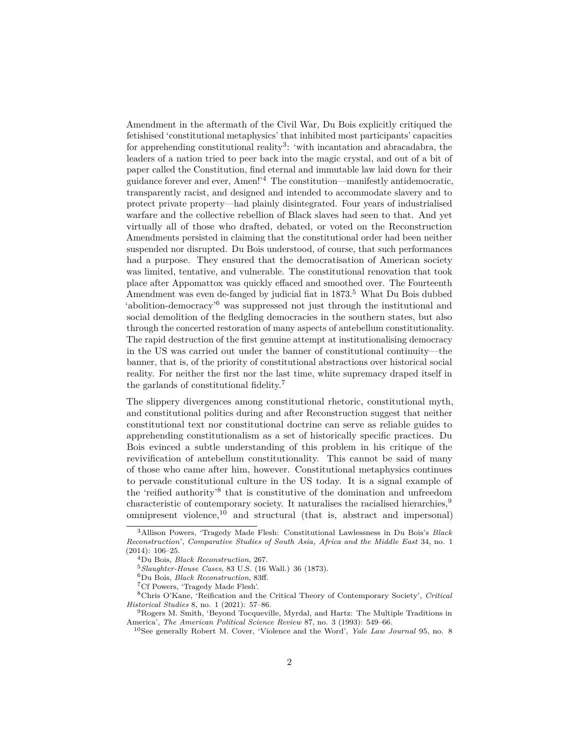Amendment in the aftermath of the Civil War, Du Bois explicitly critiqued the fetishised 'constitutional metaphysics' that inhibited most participants' capacities for apprehending constitutional reality<sup>[3](#page-1-0)</sup>: 'with incantation and abracadabra, the leaders of a nation tried to peer back into the magic crystal, and out of a bit of paper called the Constitution, find eternal and immutable law laid down for their guidance forever and ever, Amen!'[4](#page-1-1) The constitution—manifestly antidemocratic, transparently racist, and designed and intended to accommodate slavery and to protect private property—had plainly disintegrated. Four years of industrialised warfare and the collective rebellion of Black slaves had seen to that. And yet virtually all of those who drafted, debated, or voted on the Reconstruction Amendments persisted in claiming that the constitutional order had been neither suspended nor disrupted. Du Bois understood, of course, that such performances had a purpose. They ensured that the democratisation of American society was limited, tentative, and vulnerable. The constitutional renovation that took place after Appomattox was quickly effaced and smoothed over. The Fourteenth Amendment was even de-fanged by judicial fiat in 1873.<sup>[5](#page-1-2)</sup> What Du Bois dubbed 'abolition-democracy'[6](#page-1-3) was suppressed not just through the institutional and social demolition of the fledgling democracies in the southern states, but also through the concerted restoration of many aspects of antebellum constitutionality. The rapid destruction of the first genuine attempt at institutionalising democracy in the US was carried out under the banner of constitutional continuity—the banner, that is, of the priority of constitutional abstractions over historical social reality. For neither the first nor the last time, white supremacy draped itself in the garlands of constitutional fidelity.[7](#page-1-4)

The slippery divergences among constitutional rhetoric, constitutional myth, and constitutional politics during and after Reconstruction suggest that neither constitutional text nor constitutional doctrine can serve as reliable guides to apprehending constitutionalism as a set of historically specific practices. Du Bois evinced a subtle understanding of this problem in his critique of the revivification of antebellum constitutionality. This cannot be said of many of those who came after him, however. Constitutional metaphysics continues to pervade constitutional culture in the US today. It is a signal example of the 'reified authority'[8](#page-1-5) that is constitutive of the domination and unfreedom characteristic of contemporary society. It naturalises the racialised hierarchies,<sup>[9](#page-1-6)</sup> omnipresent violence, $10$  and structural (that is, abstract and impersonal)

<span id="page-1-0"></span><sup>3</sup>Allison Powers, 'Tragedy Made Flesh: Constitutional Lawlessness in Du Bois's *Black Reconstruction*', *Comparative Studies of South Asia, Africa and the Middle East* 34, no. 1 (2014): 106–25.

<span id="page-1-1"></span><sup>4</sup>Du Bois, *Black Reconstruction*, 267.

<span id="page-1-2"></span><sup>5</sup>*Slaughter-House Cases*, 83 U.S. (16 Wall.) 36 (1873).

<span id="page-1-3"></span><sup>6</sup>Du Bois, *Black Reconstruction*, 83ff.

<span id="page-1-5"></span><span id="page-1-4"></span><sup>7</sup>Cf Powers, 'Tragedy Made Flesh'.

<sup>8</sup>Chris O'Kane, 'Reification and the Critical Theory of Contemporary Society', *Critical Historical Studies* 8, no. 1 (2021): 57–86.

<span id="page-1-6"></span><sup>9</sup>Rogers M. Smith, 'Beyond Tocqueville, Myrdal, and Hartz: The Multiple Traditions in America', *The American Political Science Review* 87, no. 3 (1993): 549–66.

<span id="page-1-7"></span><sup>10</sup>See generally Robert M. Cover, 'Violence and the Word', *Yale Law Journal* 95, no. 8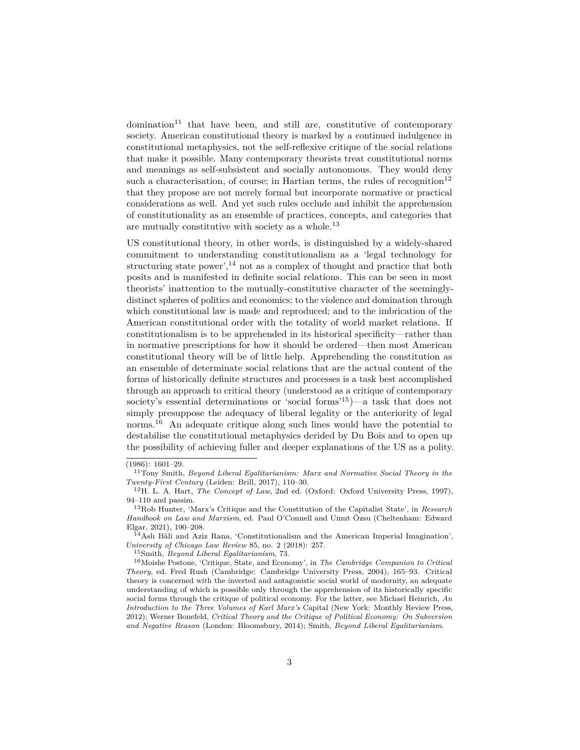$domination<sup>11</sup>$  $domination<sup>11</sup>$  $domination<sup>11</sup>$  that have been, and still are, constitutive of contemporary society. American constitutional theory is marked by a continued indulgence in constitutional metaphysics, not the self-reflexive critique of the social relations that make it possible. Many contemporary theorists treat constitutional norms and meanings as self-subsistent and socially autonomous. They would deny such a characterisation, of course; in Hartian terms, the rules of recognition<sup>[12](#page-2-1)</sup> that they propose are not merely formal but incorporate normative or practical considerations as well. And yet such rules occlude and inhibit the apprehension of constitutionality as an ensemble of practices, concepts, and categories that are mutually constitutive with society as a whole.[13](#page-2-2)

US constitutional theory, in other words, is distinguished by a widely-shared commitment to understanding constitutionalism as a 'legal technology for structuring state power', $^{14}$  $^{14}$  $^{14}$  not as a complex of thought and practice that both posits and is manifested in definite social relations. This can be seen in most theorists' inattention to the mutually-constitutive character of the seeminglydistinct spheres of politics and economics; to the violence and domination through which constitutional law is made and reproduced; and to the imbrication of the American constitutional order with the totality of world market relations. If constitutionalism is to be apprehended in its historical specificity—rather than in normative prescriptions for how it should be ordered—then most American constitutional theory will be of little help. Apprehending the constitution as an ensemble of determinate social relations that are the actual content of the forms of historically definite structures and processes is a task best accomplished through an approach to critical theory (understood as a critique of contemporary society's essential determinations or 'social forms'[15](#page-2-4))—a task that does not simply presuppose the adequacy of liberal legality or the anteriority of legal norms.<sup>[16](#page-2-5)</sup> An adequate critique along such lines would have the potential to destabilise the constitutional metaphysics derided by Du Bois and to open up the possibility of achieving fuller and deeper explanations of the US as a polity.

<span id="page-2-5"></span><span id="page-2-4"></span><sup>15</sup>Smith, *Beyond Liberal Egalitarianism*, 73.

<sup>(1986): 1601–29.</sup>

<span id="page-2-0"></span><sup>11</sup>Tony Smith, *Beyond Liberal Egalitarianism: Marx and Normative Social Theory in the Twenty-First Century* (Leiden: Brill, 2017), 110–30.

<span id="page-2-1"></span><sup>12</sup>H. L. A. Hart, *The Concept of Law*, 2nd ed. (Oxford: Oxford University Press, 1997), 94–110 and passim.

<span id="page-2-2"></span><sup>13</sup>Rob Hunter, 'Marx's Critique and the Constitution of the Capitalist State', in *Research Handbook on Law and Marxism*, ed. Paul O'Connell and Umut Özsu (Cheltenham: Edward Elgar, 2021), 190–208.

<span id="page-2-3"></span> $\tilde{1}^{4}$ Aslı Bâli and Aziz Rana, 'Constitutionalism and the American Imperial Imagination', *University of Chicago Law Review* 85, no. 2 (2018): 257.

<sup>16</sup>Moishe Postone, 'Critique, State, and Economy', in *The Cambridge Companion to Critical Theory*, ed. Fred Rush (Cambridge: Cambridge University Press, 2004), 165–93. Critical theory is concerned with the inverted and antagonistic social world of modernity, an adequate understanding of which is possible only through the apprehension of its historically specific social forms through the critique of political economy. For the latter, see Michael Heinrich, *An Introduction to the Three Volumes of Karl Marx's* Capital (New York: Monthly Review Press, 2012); Werner Bonefeld, *Critical Theory and the Critique of Political Economy: On Subversion and Negative Reason* (London: Bloomsbury, 2014); Smith, *Beyond Liberal Egalitarianism*.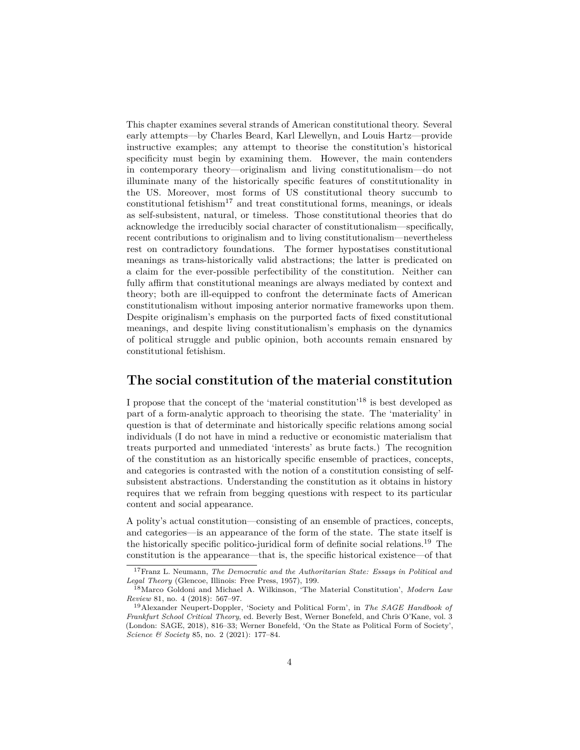This chapter examines several strands of American constitutional theory. Several early attempts—by Charles Beard, Karl Llewellyn, and Louis Hartz—provide instructive examples; any attempt to theorise the constitution's historical specificity must begin by examining them. However, the main contenders in contemporary theory—originalism and living constitutionalism—do not illuminate many of the historically specific features of constitutionality in the US. Moreover, most forms of US constitutional theory succumb to constitutional fetishism<sup>[17](#page-3-0)</sup> and treat constitutional forms, meanings, or ideals as self-subsistent, natural, or timeless. Those constitutional theories that do acknowledge the irreducibly social character of constitutionalism—specifically, recent contributions to originalism and to living constitutionalism—nevertheless rest on contradictory foundations. The former hypostatises constitutional meanings as trans-historically valid abstractions; the latter is predicated on a claim for the ever-possible perfectibility of the constitution. Neither can fully affirm that constitutional meanings are always mediated by context and theory; both are ill-equipped to confront the determinate facts of American constitutionalism without imposing anterior normative frameworks upon them. Despite originalism's emphasis on the purported facts of fixed constitutional meanings, and despite living constitutionalism's emphasis on the dynamics of political struggle and public opinion, both accounts remain ensnared by constitutional fetishism.

### **The social constitution of the material constitution**

I propose that the concept of the 'material constitution'[18](#page-3-1) is best developed as part of a form-analytic approach to theorising the state. The 'materiality' in question is that of determinate and historically specific relations among social individuals (I do not have in mind a reductive or economistic materialism that treats purported and unmediated 'interests' as brute facts.) The recognition of the constitution as an historically specific ensemble of practices, concepts, and categories is contrasted with the notion of a constitution consisting of selfsubsistent abstractions. Understanding the constitution as it obtains in history requires that we refrain from begging questions with respect to its particular content and social appearance.

A polity's actual constitution—consisting of an ensemble of practices, concepts, and categories—is an appearance of the form of the state. The state itself is the historically specific politico-juridical form of definite social relations.[19](#page-3-2) The constitution is the appearance—that is, the specific historical existence—of that

<span id="page-3-0"></span><sup>17</sup>Franz L. Neumann, *The Democratic and the Authoritarian State: Essays in Political and Legal Theory* (Glencoe, Illinois: Free Press, 1957), 199.

<span id="page-3-1"></span><sup>18</sup>Marco Goldoni and Michael A. Wilkinson, 'The Material Constitution', *Modern Law Review* 81, no. 4 (2018): 567–97.

<span id="page-3-2"></span><sup>19</sup>Alexander Neupert-Doppler, 'Society and Political Form', in *The SAGE Handbook of Frankfurt School Critical Theory*, ed. Beverly Best, Werner Bonefeld, and Chris O'Kane, vol. 3 (London: SAGE, 2018), 816–33; Werner Bonefeld, 'On the State as Political Form of Society', *Science & Society* 85, no. 2 (2021): 177–84.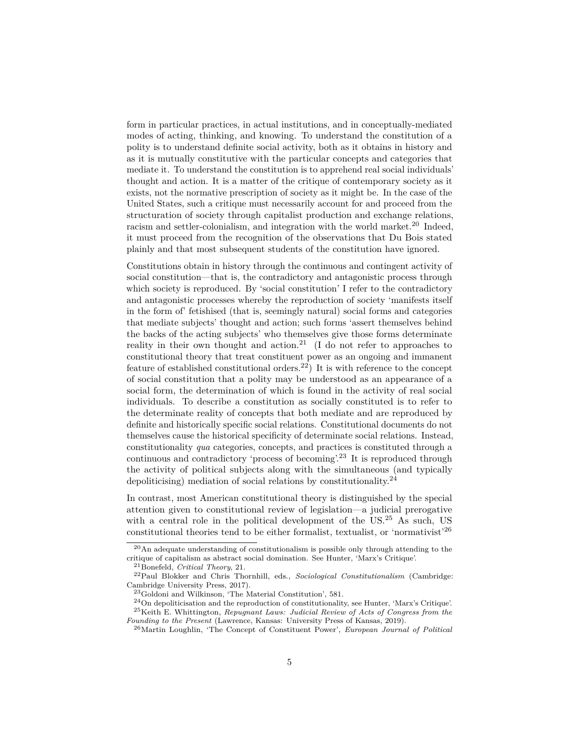form in particular practices, in actual institutions, and in conceptually-mediated modes of acting, thinking, and knowing. To understand the constitution of a polity is to understand definite social activity, both as it obtains in history and as it is mutually constitutive with the particular concepts and categories that mediate it. To understand the constitution is to apprehend real social individuals' thought and action. It is a matter of the critique of contemporary society as it exists, not the normative prescription of society as it might be. In the case of the United States, such a critique must necessarily account for and proceed from the structuration of society through capitalist production and exchange relations, racism and settler-colonialism, and integration with the world market.<sup>[20](#page-4-0)</sup> Indeed, it must proceed from the recognition of the observations that Du Bois stated plainly and that most subsequent students of the constitution have ignored.

Constitutions obtain in history through the continuous and contingent activity of social constitution—that is, the contradictory and antagonistic process through which society is reproduced. By 'social constitution' I refer to the contradictory and antagonistic processes whereby the reproduction of society 'manifests itself in the form of' fetishised (that is, seemingly natural) social forms and categories that mediate subjects' thought and action; such forms 'assert themselves behind the backs of the acting subjects' who themselves give those forms determinate reality in their own thought and action.<sup>[21](#page-4-1)</sup> (I do not refer to approaches to constitutional theory that treat constituent power as an ongoing and immanent feature of established constitutional orders.<sup>[22](#page-4-2)</sup>) It is with reference to the concept of social constitution that a polity may be understood as an appearance of a social form, the determination of which is found in the activity of real social individuals. To describe a constitution as socially constituted is to refer to the determinate reality of concepts that both mediate and are reproduced by definite and historically specific social relations. Constitutional documents do not themselves cause the historical specificity of determinate social relations. Instead, constitutionality *qua* categories, concepts, and practices is constituted through a continuous and contradictory 'process of becoming'.[23](#page-4-3) It is reproduced through the activity of political subjects along with the simultaneous (and typically depoliticising) mediation of social relations by constitutionality.<sup>[24](#page-4-4)</sup>

In contrast, most American constitutional theory is distinguished by the special attention given to constitutional review of legislation—a judicial prerogative with a central role in the political development of the US.<sup>[25](#page-4-5)</sup> As such, US constitutional theories tend to be either formalist, textualist, or 'normativist'[26](#page-4-6)

<span id="page-4-0"></span><sup>20</sup>An adequate understanding of constitutionalism is possible only through attending to the critique of capitalism as abstract social domination. See Hunter, 'Marx's Critique'.

<span id="page-4-2"></span><span id="page-4-1"></span><sup>21</sup>Bonefeld, *Critical Theory*, 21.

<sup>22</sup>Paul Blokker and Chris Thornhill, eds., *Sociological Constitutionalism* (Cambridge: Cambridge University Press, 2017).

<span id="page-4-4"></span><span id="page-4-3"></span><sup>23</sup>Goldoni and Wilkinson, 'The Material Constitution', 581.

<span id="page-4-5"></span><sup>24</sup>On depoliticisation and the reproduction of constitutionality, see Hunter, 'Marx's Critique'. <sup>25</sup>Keith E. Whittington, *Repugnant Laws: Judicial Review of Acts of Congress from the Founding to the Present* (Lawrence, Kansas: University Press of Kansas, 2019).

<span id="page-4-6"></span><sup>26</sup>Martin Loughlin, 'The Concept of Constituent Power', *European Journal of Political*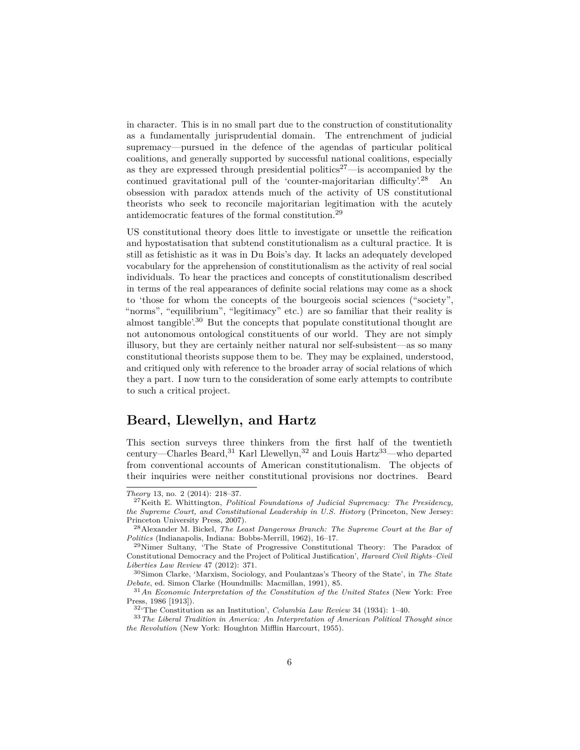in character. This is in no small part due to the construction of constitutionality as a fundamentally jurisprudential domain. The entrenchment of judicial supremacy—pursued in the defence of the agendas of particular political coalitions, and generally supported by successful national coalitions, especially as they are expressed through presidential politics<sup>[27](#page-5-0)</sup>—is accompanied by the continued gravitational pull of the 'counter-majoritarian difficulty'.<sup>[28](#page-5-1)</sup> An obsession with paradox attends much of the activity of US constitutional theorists who seek to reconcile majoritarian legitimation with the acutely antidemocratic features of the formal constitution.[29](#page-5-2)

US constitutional theory does little to investigate or unsettle the reification and hypostatisation that subtend constitutionalism as a cultural practice. It is still as fetishistic as it was in Du Bois's day. It lacks an adequately developed vocabulary for the apprehension of constitutionalism as the activity of real social individuals. To hear the practices and concepts of constitutionalism described in terms of the real appearances of definite social relations may come as a shock to 'those for whom the concepts of the bourgeois social sciences ("society", "norms", "equilibrium", "legitimacy" etc.) are so familiar that their reality is almost tangible'.[30](#page-5-3) But the concepts that populate constitutional thought are not autonomous ontological constituents of our world. They are not simply illusory, but they are certainly neither natural nor self-subsistent—as so many constitutional theorists suppose them to be. They may be explained, understood, and critiqued only with reference to the broader array of social relations of which they a part. I now turn to the consideration of some early attempts to contribute to such a critical project.

## **Beard, Llewellyn, and Hartz**

This section surveys three thinkers from the first half of the twentieth century—Charles Beard, [31](#page-5-4) Karl Llewellyn, [32](#page-5-5) and Louis Hartz<sup>[33](#page-5-6)</sup>—who departed from conventional accounts of American constitutionalism. The objects of their inquiries were neither constitutional provisions nor doctrines. Beard

*Theory* 13, no. 2 (2014): 218–37.

<span id="page-5-0"></span><sup>27</sup>Keith E. Whittington, *Political Foundations of Judicial Supremacy: The Presidency, the Supreme Court, and Constitutional Leadership in U.S. History* (Princeton, New Jersey: Princeton University Press, 2007).

<span id="page-5-1"></span><sup>28</sup>Alexander M. Bickel, *The Least Dangerous Branch: The Supreme Court at the Bar of Politics* (Indianapolis, Indiana: Bobbs-Merrill, 1962), 16–17.

<span id="page-5-2"></span><sup>29</sup>Nimer Sultany, 'The State of Progressive Constitutional Theory: The Paradox of Constitutional Democracy and the Project of Political Justification', *Harvard Civil Rights–Civil Liberties Law Review* 47 (2012): 371.

<span id="page-5-3"></span><sup>30</sup>Simon Clarke, 'Marxism, Sociology, and Poulantzas's Theory of the State', in *The State Debate*, ed. Simon Clarke (Houndmills: Macmillan, 1991), 85.

<span id="page-5-4"></span><sup>31</sup>*An Economic Interpretation of the Constitution of the United States* (New York: Free Press, 1986 [1913]).

<span id="page-5-6"></span><span id="page-5-5"></span><sup>32</sup>'The Constitution as an Institution', *Columbia Law Review* 34 (1934): 1–40.

<sup>33</sup>*The Liberal Tradition in America: An Interpretation of American Political Thought since the Revolution* (New York: Houghton Mifflin Harcourt, 1955).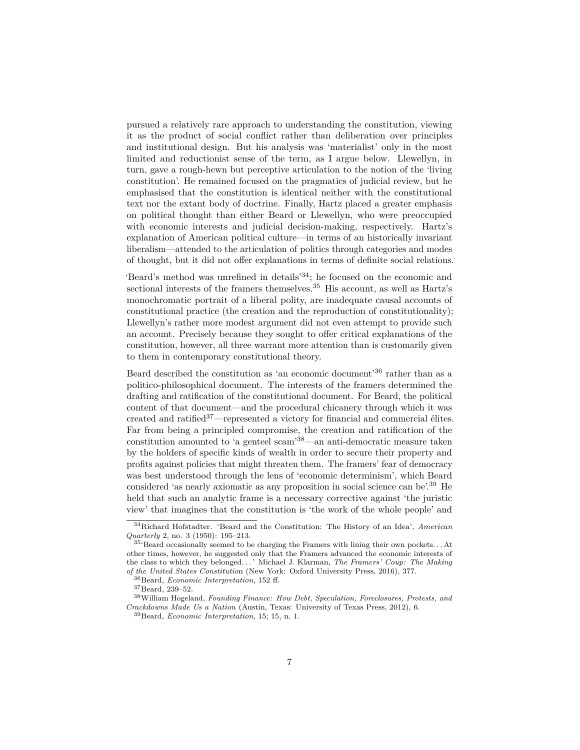pursued a relatively rare approach to understanding the constitution, viewing it as the product of social conflict rather than deliberation over principles and institutional design. But his analysis was 'materialist' only in the most limited and reductionist sense of the term, as I argue below. Llewellyn, in turn, gave a rough-hewn but perceptive articulation to the notion of the 'living constitution'. He remained focused on the pragmatics of judicial review, but he emphasised that the constitution is identical neither with the constitutional text nor the extant body of doctrine. Finally, Hartz placed a greater emphasis on political thought than either Beard or Llewellyn, who were preoccupied with economic interests and judicial decision-making, respectively. Hartz's explanation of American political culture—in terms of an historically invariant liberalism—attended to the articulation of politics through categories and modes of thought, but it did not offer explanations in terms of definite social relations.

'Beard's method was unrefined in details'[34](#page-6-0); he focused on the economic and sectional interests of the framers themselves.  $35$  His account, as well as Hartz's monochromatic portrait of a liberal polity, are inadequate causal accounts of constitutional practice (the creation and the reproduction of constitutionality); Llewellyn's rather more modest argument did not even attempt to provide such an account. Precisely because they sought to offer critical explanations of the constitution, however, all three warrant more attention than is customarily given to them in contemporary constitutional theory.

Beard described the constitution as 'an economic document' $36$  rather than as a politico-philosophical document. The interests of the framers determined the drafting and ratification of the constitutional document. For Beard, the political content of that document—and the procedural chicanery through which it was created and ratified[37](#page-6-3)—represented a victory for financial and commercial élites. Far from being a principled compromise, the creation and ratification of the constitution amounted to 'a genteel scam'[38](#page-6-4)—an anti-democratic measure taken by the holders of specific kinds of wealth in order to secure their property and profits against policies that might threaten them. The framers' fear of democracy was best understood through the lens of 'economic determinism', which Beard considered 'as nearly axiomatic as any proposition in social science can be'.[39](#page-6-5) He held that such an analytic frame is a necessary corrective against 'the juristic view' that imagines that the constitution is 'the work of the whole people' and

<span id="page-6-0"></span><sup>34</sup>Richard Hofstadter. 'Beard and the Constitution: The History of an Idea', *American Quarterly* 2, no. 3 (1950): 195–213.

<span id="page-6-1"></span><sup>35</sup>'Beard occasionally seemed to be charging the Framers with lining their own pockets. . . At other times, however, he suggested only that the Framers advanced the economic interests of the class to which they belonged. . . ' Michael J. Klarman, *The Framers' Coup: The Making of the United States Constitutio*n (New York: Oxford University Press, 2016), 377.

<span id="page-6-2"></span><sup>36</sup>Beard, *Economic Interpretation*, 152 ff.

<span id="page-6-4"></span><span id="page-6-3"></span><sup>37</sup>Beard, 239–52.

<sup>38</sup>William Hogeland, *Founding Finance: How Debt, Speculation, Foreclosures, Protests, and Crackdowns Made Us a Nation* (Austin, Texas: University of Texas Press, 2012), 6.

<span id="page-6-5"></span><sup>39</sup>Beard, *Economic Interpretation*, 15; 15, n. 1.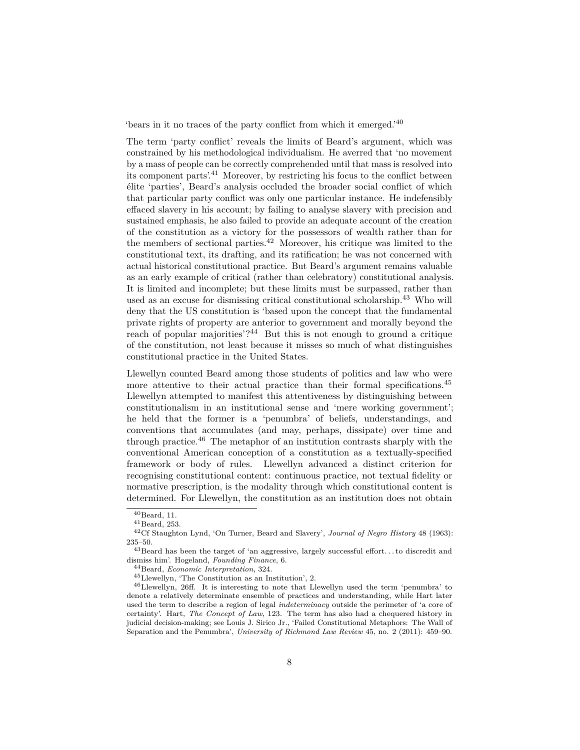'bears in it no traces of the party conflict from which it emerged.'[40](#page-7-0)

The term 'party conflict' reveals the limits of Beard's argument, which was constrained by his methodological individualism. He averred that 'no movement by a mass of people can be correctly comprehended until that mass is resolved into its component parts'.[41](#page-7-1) Moreover, by restricting his focus to the conflict between élite 'parties', Beard's analysis occluded the broader social conflict of which that particular party conflict was only one particular instance. He indefensibly effaced slavery in his account; by failing to analyse slavery with precision and sustained emphasis, he also failed to provide an adequate account of the creation of the constitution as a victory for the possessors of wealth rather than for the members of sectional parties.<sup>[42](#page-7-2)</sup> Moreover, his critique was limited to the constitutional text, its drafting, and its ratification; he was not concerned with actual historical constitutional practice. But Beard's argument remains valuable as an early example of critical (rather than celebratory) constitutional analysis. It is limited and incomplete; but these limits must be surpassed, rather than used as an excuse for dismissing critical constitutional scholarship.[43](#page-7-3) Who will deny that the US constitution is 'based upon the concept that the fundamental private rights of property are anterior to government and morally beyond the reach of popular majorities'? $44$  But this is not enough to ground a critique of the constitution, not least because it misses so much of what distinguishes constitutional practice in the United States.

Llewellyn counted Beard among those students of politics and law who were more attentive to their actual practice than their formal specifications.<sup>[45](#page-7-5)</sup> Llewellyn attempted to manifest this attentiveness by distinguishing between constitutionalism in an institutional sense and 'mere working government'; he held that the former is a 'penumbra' of beliefs, understandings, and conventions that accumulates (and may, perhaps, dissipate) over time and through practice.<sup>[46](#page-7-6)</sup> The metaphor of an institution contrasts sharply with the conventional American conception of a constitution as a textually-specified framework or body of rules. Llewellyn advanced a distinct criterion for recognising constitutional content: continuous practice, not textual fidelity or normative prescription, is the modality through which constitutional content is determined. For Llewellyn, the constitution as an institution does not obtain

<span id="page-7-0"></span> $40$ Beard, 11.

<span id="page-7-2"></span><span id="page-7-1"></span> $^{41}\mbox{Beard},$  253.

<sup>42</sup>Cf Staughton Lynd, 'On Turner, Beard and Slavery', *Journal of Negro History* 48 (1963): 235–50.

<span id="page-7-3"></span> $^{43}\rm{Beard}$  has been the target of 'an aggressive, largely successful effort...to discredit and dismiss him'. Hogeland, *Founding Finance*, 6.

<span id="page-7-4"></span><sup>44</sup>Beard, *Economic Interpretation*, 324.

<span id="page-7-6"></span><span id="page-7-5"></span><sup>45</sup>Llewellyn, 'The Constitution as an Institution', 2.

<sup>46</sup>Llewellyn, 26ff. It is interesting to note that Llewellyn used the term 'penumbra' to denote a relatively determinate ensemble of practices and understanding, while Hart later used the term to describe a region of legal *indeterminacy* outside the perimeter of 'a core of certainty'. Hart, *The Concept of Law*, 123. The term has also had a chequered history in judicial decision-making; see Louis J. Sirico Jr., 'Failed Constitutional Metaphors: The Wall of Separation and the Penumbra', *University of Richmond Law Review* 45, no. 2 (2011): 459–90.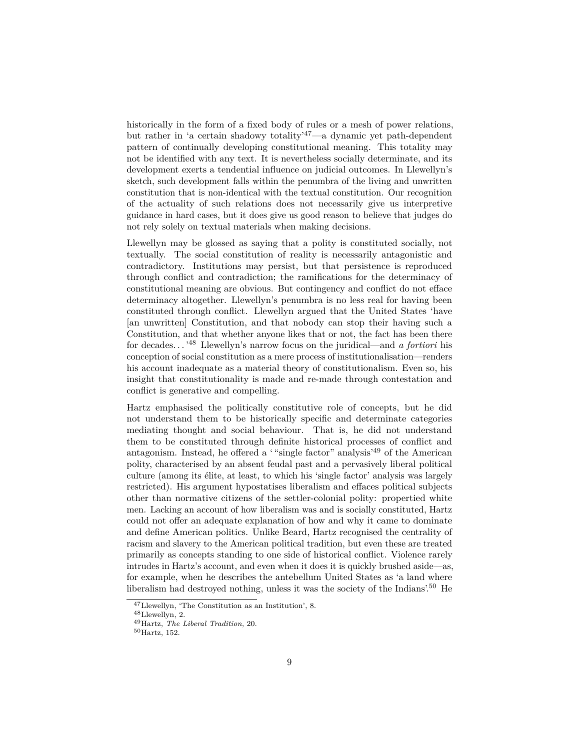historically in the form of a fixed body of rules or a mesh of power relations, but rather in 'a certain shadowy totality'[47](#page-8-0)—a dynamic yet path-dependent pattern of continually developing constitutional meaning. This totality may not be identified with any text. It is nevertheless socially determinate, and its development exerts a tendential influence on judicial outcomes. In Llewellyn's sketch, such development falls within the penumbra of the living and unwritten constitution that is non-identical with the textual constitution. Our recognition of the actuality of such relations does not necessarily give us interpretive guidance in hard cases, but it does give us good reason to believe that judges do not rely solely on textual materials when making decisions.

Llewellyn may be glossed as saying that a polity is constituted socially, not textually. The social constitution of reality is necessarily antagonistic and contradictory. Institutions may persist, but that persistence is reproduced through conflict and contradiction; the ramifications for the determinacy of constitutional meaning are obvious. But contingency and conflict do not efface determinacy altogether. Llewellyn's penumbra is no less real for having been constituted through conflict. Llewellyn argued that the United States 'have [an unwritten] Constitution, and that nobody can stop their having such a Constitution, and that whether anyone likes that or not, the fact has been there for decades. . . '[48](#page-8-1) Llewellyn's narrow focus on the juridical—and *a fortiori* his conception of social constitution as a mere process of institutionalisation—renders his account inadequate as a material theory of constitutionalism. Even so, his insight that constitutionality is made and re-made through contestation and conflict is generative and compelling.

Hartz emphasised the politically constitutive role of concepts, but he did not understand them to be historically specific and determinate categories mediating thought and social behaviour. That is, he did not understand them to be constituted through definite historical processes of conflict and antagonism. Instead, he offered a ' "single factor" analysis'[49](#page-8-2) of the American polity, characterised by an absent feudal past and a pervasively liberal political culture (among its élite, at least, to which his 'single factor' analysis was largely restricted). His argument hypostatises liberalism and effaces political subjects other than normative citizens of the settler-colonial polity: propertied white men. Lacking an account of how liberalism was and is socially constituted, Hartz could not offer an adequate explanation of how and why it came to dominate and define American politics. Unlike Beard, Hartz recognised the centrality of racism and slavery to the American political tradition, but even these are treated primarily as concepts standing to one side of historical conflict. Violence rarely intrudes in Hartz's account, and even when it does it is quickly brushed aside—as, for example, when he describes the antebellum United States as 'a land where liberalism had destroyed nothing, unless it was the society of the Indians'.[50](#page-8-3) He

<span id="page-8-0"></span><sup>47</sup>Llewellyn, 'The Constitution as an Institution', 8.

<span id="page-8-1"></span><sup>48</sup>Llewellyn, 2.

<span id="page-8-2"></span><sup>49</sup>Hartz, *The Liberal Tradition*, 20.

<span id="page-8-3"></span><sup>50</sup>Hartz, 152.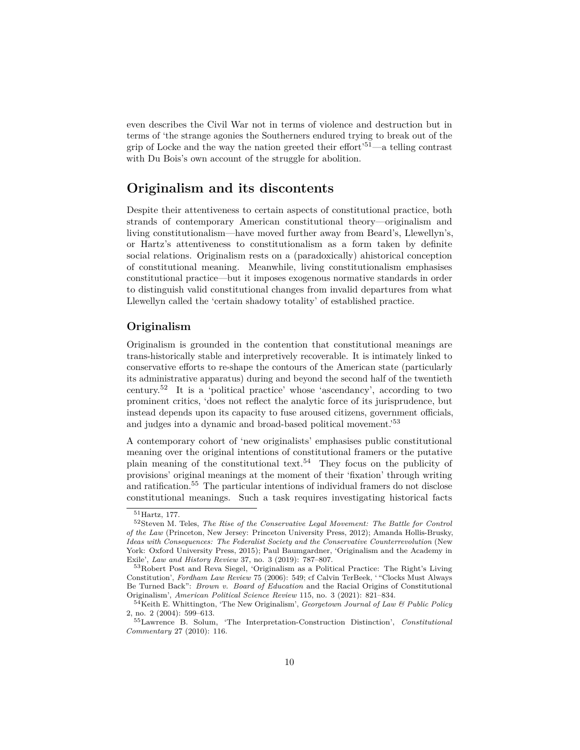even describes the Civil War not in terms of violence and destruction but in terms of 'the strange agonies the Southerners endured trying to break out of the grip of Locke and the way the nation greeted their effort<sup> $51$ </sup>—a telling contrast with Du Bois's own account of the struggle for abolition.

# **Originalism and its discontents**

Despite their attentiveness to certain aspects of constitutional practice, both strands of contemporary American constitutional theory—originalism and living constitutionalism—have moved further away from Beard's, Llewellyn's, or Hartz's attentiveness to constitutionalism as a form taken by definite social relations. Originalism rests on a (paradoxically) ahistorical conception of constitutional meaning. Meanwhile, living constitutionalism emphasises constitutional practice—but it imposes exogenous normative standards in order to distinguish valid constitutional changes from invalid departures from what Llewellyn called the 'certain shadowy totality' of established practice.

#### **Originalism**

Originalism is grounded in the contention that constitutional meanings are trans-historically stable and interpretively recoverable. It is intimately linked to conservative efforts to re-shape the contours of the American state (particularly its administrative apparatus) during and beyond the second half of the twentieth century.[52](#page-9-1) It is a 'political practice' whose 'ascendancy', according to two prominent critics, 'does not reflect the analytic force of its jurisprudence, but instead depends upon its capacity to fuse aroused citizens, government officials, and judges into a dynamic and broad-based political movement.'[53](#page-9-2)

A contemporary cohort of 'new originalists' emphasises public constitutional meaning over the original intentions of constitutional framers or the putative plain meaning of the constitutional text.<sup>[54](#page-9-3)</sup> They focus on the publicity of provisions' original meanings at the moment of their 'fixation' through writing and ratification.[55](#page-9-4) The particular intentions of individual framers do not disclose constitutional meanings. Such a task requires investigating historical facts

<span id="page-9-1"></span><span id="page-9-0"></span><sup>51</sup>Hartz, 177.

<sup>52</sup>Steven M. Teles, *The Rise of the Conservative Legal Movement: The Battle for Control of the Law* (Princeton, New Jersey: Princeton University Press, 2012); Amanda Hollis-Brusky, *Ideas with Consequences: The Federalist Society and the Conservative Counterrevolution* (New York: Oxford University Press, 2015); Paul Baumgardner, 'Originalism and the Academy in Exile', *Law and History Review* 37, no. 3 (2019): 787–807.

<span id="page-9-2"></span><sup>53</sup>Robert Post and Reva Siegel, 'Originalism as a Political Practice: The Right's Living Constitution', *Fordham Law Review* 75 (2006): 549; cf Calvin TerBeek, ' "Clocks Must Always Be Turned Back": *Brown v. Board of Education* and the Racial Origins of Constitutional Originalism', *American Political Science Review* 115, no. 3 (2021): 821–834.

<span id="page-9-3"></span><sup>54</sup>Keith E. Whittington, 'The New Originalism', *Georgetown Journal of Law & Public Policy* 2, no. 2 (2004): 599–613.

<span id="page-9-4"></span><sup>55</sup>Lawrence B. Solum, 'The Interpretation-Construction Distinction', *Constitutional Commentary* 27 (2010): 116.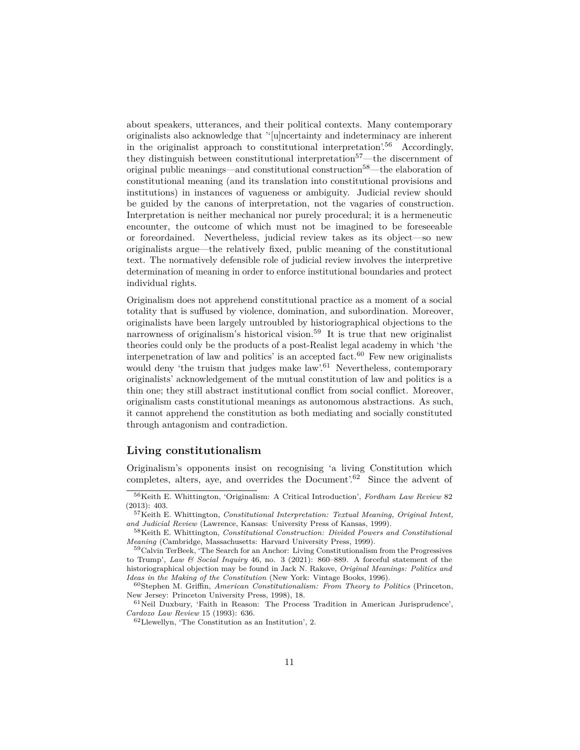about speakers, utterances, and their political contexts. Many contemporary originalists also acknowledge that ''[u]ncertainty and indeterminacy are inherent in the originalist approach to constitutional interpretation'.[56](#page-10-0) Accordingly, they distinguish between constitutional interpretation<sup>[57](#page-10-1)</sup>—the discernment of original public meanings—and constitutional construction[58](#page-10-2)—the elaboration of constitutional meaning (and its translation into constitutional provisions and institutions) in instances of vagueness or ambiguity. Judicial review should be guided by the canons of interpretation, not the vagaries of construction. Interpretation is neither mechanical nor purely procedural; it is a hermeneutic encounter, the outcome of which must not be imagined to be foreseeable or foreordained. Nevertheless, judicial review takes as its object—so new originalists argue—the relatively fixed, public meaning of the constitutional text. The normatively defensible role of judicial review involves the interpretive determination of meaning in order to enforce institutional boundaries and protect individual rights.

Originalism does not apprehend constitutional practice as a moment of a social totality that is suffused by violence, domination, and subordination. Moreover, originalists have been largely untroubled by historiographical objections to the narrowness of originalism's historical vision.[59](#page-10-3) It is true that new originalist theories could only be the products of a post-Realist legal academy in which 'the interpenetration of law and politics' is an accepted fact. $60$  Few new originalists would deny 'the truism that judges make  $law$ '.<sup>[61](#page-10-5)</sup> Nevertheless, contemporary originalists' acknowledgement of the mutual constitution of law and politics is a thin one; they still abstract institutional conflict from social conflict. Moreover, originalism casts constitutional meanings as autonomous abstractions. As such, it cannot apprehend the constitution as both mediating and socially constituted through antagonism and contradiction.

#### **Living constitutionalism**

Originalism's opponents insist on recognising 'a living Constitution which completes, alters, aye, and overrides the Document'.<sup>[62](#page-10-6)</sup> Since the advent of

<span id="page-10-0"></span><sup>56</sup>Keith E. Whittington, 'Originalism: A Critical Introduction', *Fordham Law Review* 82 (2013): 403.

<span id="page-10-1"></span><sup>57</sup>Keith E. Whittington, *Constitutional Interpretation: Textual Meaning, Original Intent, and Judicial Review* (Lawrence, Kansas: University Press of Kansas, 1999).

<span id="page-10-2"></span><sup>58</sup>Keith E. Whittington, *Constitutional Construction: Divided Powers and Constitutional Meaning* (Cambridge, Massachusetts: Harvard University Press, 1999).

<span id="page-10-3"></span><sup>59</sup>Calvin TerBeek, 'The Search for an Anchor: Living Constitutionalism from the Progressives to Trump', *Law & Social Inquiry* 46, no. 3 (2021): 860–889. A forceful statement of the historiographical objection may be found in Jack N. Rakove, *Original Meanings: Politics and Ideas in the Making of the Constitution* (New York: Vintage Books, 1996).

<span id="page-10-4"></span><sup>60</sup>Stephen M. Griffin, *American Constitutionalism: From Theory to Politics* (Princeton, New Jersey: Princeton University Press, 1998), 18.

<span id="page-10-5"></span> $^{61}\rm{Nei}$ Duxbury, 'Faith in Reason: The Process Tradition in American Jurisprudence', *Cardozo Law Review* 15 (1993): 636.

<span id="page-10-6"></span> $62$  Llewellyn, 'The Constitution as an Institution', 2.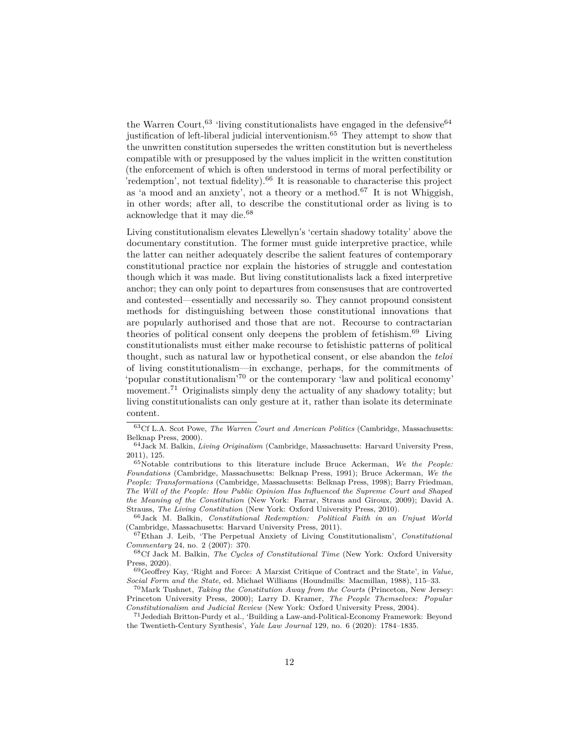the Warren Court,  $63$  'living constitutionalists have engaged in the defensive  $64$ justification of left-liberal judicial interventionism.[65](#page-11-2) They attempt to show that the unwritten constitution supersedes the written constitution but is nevertheless compatible with or presupposed by the values implicit in the written constitution (the enforcement of which is often understood in terms of moral perfectibility or 'redemption', not textual fidelity).<sup>[66](#page-11-3)</sup> It is reasonable to characterise this project as 'a mood and an anxiety', not a theory or a method.<sup>[67](#page-11-4)</sup> It is not Whiggish, in other words; after all, to describe the constitutional order as living is to acknowledge that it may die.[68](#page-11-5)

Living constitutionalism elevates Llewellyn's 'certain shadowy totality' above the documentary constitution. The former must guide interpretive practice, while the latter can neither adequately describe the salient features of contemporary constitutional practice nor explain the histories of struggle and contestation though which it was made. But living constitutionalists lack a fixed interpretive anchor; they can only point to departures from consensuses that are controverted and contested—essentially and necessarily so. They cannot propound consistent methods for distinguishing between those constitutional innovations that are popularly authorised and those that are not. Recourse to contractarian theories of political consent only deepens the problem of fetishism.[69](#page-11-6) Living constitutionalists must either make recourse to fetishistic patterns of political thought, such as natural law or hypothetical consent, or else abandon the *teloi* of living constitutionalism—in exchange, perhaps, for the commitments of 'popular constitutionalism'[70](#page-11-7) or the contemporary 'law and political economy' movement.<sup>[71](#page-11-8)</sup> Originalists simply deny the actuality of any shadowy totality; but living constitutionalists can only gesture at it, rather than isolate its determinate content.

<span id="page-11-0"></span><sup>63</sup>Cf L.A. Scot Powe, *The Warren Court and American Politics* (Cambridge, Massachusetts: Belknap Press, 2000).

<span id="page-11-1"></span><sup>64</sup>Jack M. Balkin, *Living Originalism* (Cambridge, Massachusetts: Harvard University Press, 2011), 125.

<span id="page-11-2"></span><sup>65</sup>Notable contributions to this literature include Bruce Ackerman, *We the People: Foundations* (Cambridge, Massachusetts: Belknap Press, 1991); Bruce Ackerman, *We the People: Transformations* (Cambridge, Massachusetts: Belknap Press, 1998); Barry Friedman, *The Will of the People: How Public Opinion Has Influenced the Supreme Court and Shaped the Meaning of the Constitution* (New York: Farrar, Straus and Giroux, 2009); David A. Strauss, *The Living Constitution* (New York: Oxford University Press, 2010).

<span id="page-11-3"></span><sup>66</sup>Jack M. Balkin, *Constitutional Redemption: Political Faith in an Unjust World* (Cambridge, Massachusetts: Harvard University Press, 2011).

<span id="page-11-4"></span><sup>67</sup>Ethan J. Leib, 'The Perpetual Anxiety of Living Constitutionalism', *Constitutional Commentary* 24, no. 2 (2007): 370.

<span id="page-11-5"></span><sup>68</sup>Cf Jack M. Balkin, *The Cycles of Constitutional Time* (New York: Oxford University Press, 2020).

<span id="page-11-6"></span><sup>69</sup>Geoffrey Kay, 'Right and Force: A Marxist Critique of Contract and the State', in *Value, Social Form and the State*, ed. Michael Williams (Houndmills: Macmillan, 1988), 115–33.

<span id="page-11-7"></span><sup>70</sup>Mark Tushnet, *Taking the Constitution Away from the Courts* (Princeton, New Jersey: Princeton University Press, 2000); Larry D. Kramer, *The People Themselves: Popular Constitutionalism and Judicial Review* (New York: Oxford University Press, 2004).

<span id="page-11-8"></span><sup>71</sup>Jedediah Britton-Purdy et al., 'Building a Law-and-Political-Economy Framework: Beyond the Twentieth-Century Synthesis', *Yale Law Journal* 129, no. 6 (2020): 1784–1835.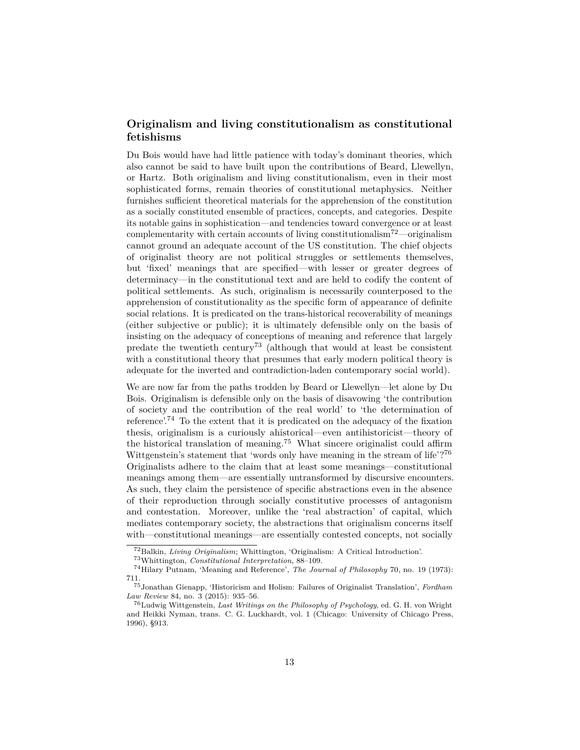#### **Originalism and living constitutionalism as constitutional fetishisms**

Du Bois would have had little patience with today's dominant theories, which also cannot be said to have built upon the contributions of Beard, Llewellyn, or Hartz. Both originalism and living constitutionalism, even in their most sophisticated forms, remain theories of constitutional metaphysics. Neither furnishes sufficient theoretical materials for the apprehension of the constitution as a socially constituted ensemble of practices, concepts, and categories. Despite its notable gains in sophistication—and tendencies toward convergence or at least complementarity with certain accounts of living constitutionalism<sup>[72](#page-12-0)</sup>—originalism cannot ground an adequate account of the US constitution. The chief objects of originalist theory are not political struggles or settlements themselves, but 'fixed' meanings that are specified—with lesser or greater degrees of determinacy—in the constitutional text and are held to codify the content of political settlements. As such, originalism is necessarily counterposed to the apprehension of constitutionality as the specific form of appearance of definite social relations. It is predicated on the trans-historical recoverability of meanings (either subjective or public); it is ultimately defensible only on the basis of insisting on the adequacy of conceptions of meaning and reference that largely predate the twentieth century<sup>[73](#page-12-1)</sup> (although that would at least be consistent with a constitutional theory that presumes that early modern political theory is adequate for the inverted and contradiction-laden contemporary social world).

We are now far from the paths trodden by Beard or Llewellyn—let alone by Du Bois. Originalism is defensible only on the basis of disavowing 'the contribution of society and the contribution of the real world' to 'the determination of reference'.[74](#page-12-2) To the extent that it is predicated on the adequacy of the fixation thesis, originalism is a curiously ahistorical—even antihistoricist—theory of the historical translation of meaning.[75](#page-12-3) What sincere originalist could affirm Wittgenstein's statement that 'words only have meaning in the stream of life'?<sup>[76](#page-12-4)</sup> Originalists adhere to the claim that at least some meanings—constitutional meanings among them—are essentially untransformed by discursive encounters. As such, they claim the persistence of specific abstractions even in the absence of their reproduction through socially constitutive processes of antagonism and contestation. Moreover, unlike the 'real abstraction' of capital, which mediates contemporary society, the abstractions that originalism concerns itself with—constitutional meanings—are essentially contested concepts, not socially

<span id="page-12-0"></span><sup>72</sup>Balkin, *Living Originalism*; Whittington, 'Originalism: A Critical Introduction'.

<span id="page-12-2"></span><span id="page-12-1"></span><sup>73</sup>Whittington, *Constitutional Interpretation*, 88–109.

<sup>74</sup>Hilary Putnam, 'Meaning and Reference', *The Journal of Philosophy* 70, no. 19 (1973): 711.

<span id="page-12-3"></span><sup>75</sup>Jonathan Gienapp, 'Historicism and Holism: Failures of Originalist Translation', *Fordham Law Review* 84, no. 3 (2015): 935–56.

<span id="page-12-4"></span><sup>76</sup>Ludwig Wittgenstein, *Last Writings on the Philosophy of Psychology*, ed. G. H. von Wright and Heikki Nyman, trans. C. G. Luckhardt, vol. 1 (Chicago: University of Chicago Press, 1996), §913.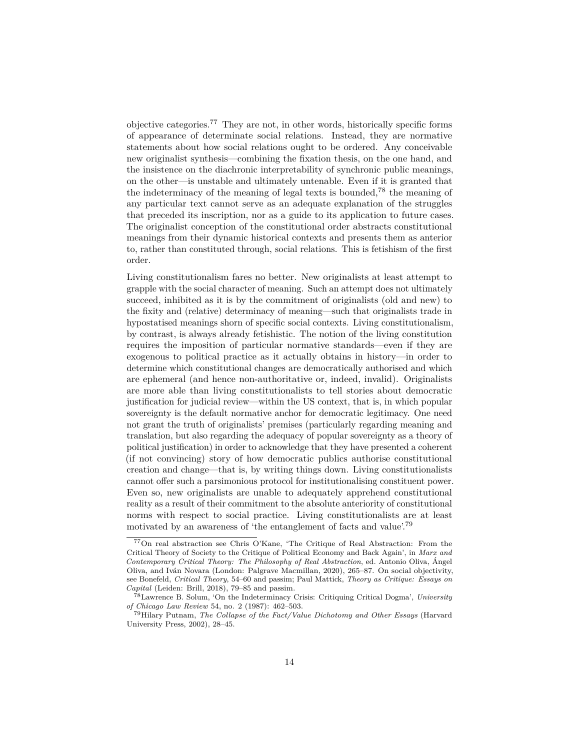objective categories.[77](#page-13-0) They are not, in other words, historically specific forms of appearance of determinate social relations. Instead, they are normative statements about how social relations ought to be ordered. Any conceivable new originalist synthesis—combining the fixation thesis, on the one hand, and the insistence on the diachronic interpretability of synchronic public meanings, on the other—is unstable and ultimately untenable. Even if it is granted that the indeterminacy of the meaning of legal texts is bounded,<sup>[78](#page-13-1)</sup> the meaning of any particular text cannot serve as an adequate explanation of the struggles that preceded its inscription, nor as a guide to its application to future cases. The originalist conception of the constitutional order abstracts constitutional meanings from their dynamic historical contexts and presents them as anterior to, rather than constituted through, social relations. This is fetishism of the first order.

Living constitutionalism fares no better. New originalists at least attempt to grapple with the social character of meaning. Such an attempt does not ultimately succeed, inhibited as it is by the commitment of originalists (old and new) to the fixity and (relative) determinacy of meaning—such that originalists trade in hypostatised meanings shorn of specific social contexts. Living constitutionalism, by contrast, is always already fetishistic. The notion of the living constitution requires the imposition of particular normative standards—even if they are exogenous to political practice as it actually obtains in history—in order to determine which constitutional changes are democratically authorised and which are ephemeral (and hence non-authoritative or, indeed, invalid). Originalists are more able than living constitutionalists to tell stories about democratic justification for judicial review—within the US context, that is, in which popular sovereignty is the default normative anchor for democratic legitimacy. One need not grant the truth of originalists' premises (particularly regarding meaning and translation, but also regarding the adequacy of popular sovereignty as a theory of political justification) in order to acknowledge that they have presented a coherent (if not convincing) story of how democratic publics authorise constitutional creation and change—that is, by writing things down. Living constitutionalists cannot offer such a parsimonious protocol for institutionalising constituent power. Even so, new originalists are unable to adequately apprehend constitutional reality as a result of their commitment to the absolute anteriority of constitutional norms with respect to social practice. Living constitutionalists are at least motivated by an awareness of 'the entanglement of facts and value'.<sup>[79](#page-13-2)</sup>

<span id="page-13-0"></span><sup>77</sup>On real abstraction see Chris O'Kane, 'The Critique of Real Abstraction: From the Critical Theory of Society to the Critique of Political Economy and Back Again', in *Marx and Contemporary Critical Theory: The Philosophy of Real Abstraction*, ed. Antonio Oliva, Ángel Oliva, and Iván Novara (London: Palgrave Macmillan, 2020), 265–87. On social objectivity, see Bonefeld, *Critical Theory*, 54–60 and passim; Paul Mattick, *Theory as Critique: Essays on Capital* (Leiden: Brill, 2018), 79–85 and passim.

<span id="page-13-1"></span><sup>78</sup>Lawrence B. Solum, 'On the Indeterminacy Crisis: Critiquing Critical Dogma', *University of Chicago Law Review* 54, no. 2 (1987): 462–503.

<span id="page-13-2"></span><sup>79</sup>Hilary Putnam, *The Collapse of the Fact/Value Dichotomy and Other Essays* (Harvard University Press, 2002), 28–45.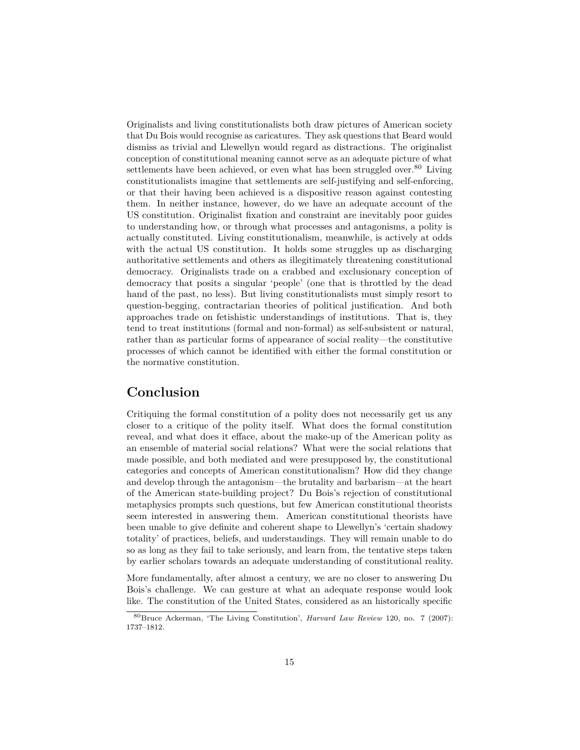Originalists and living constitutionalists both draw pictures of American society that Du Bois would recognise as caricatures. They ask questions that Beard would dismiss as trivial and Llewellyn would regard as distractions. The originalist conception of constitutional meaning cannot serve as an adequate picture of what settlements have been achieved, or even what has been struggled over.<sup>[80](#page-14-0)</sup> Living constitutionalists imagine that settlements are self-justifying and self-enforcing, or that their having been achieved is a dispositive reason against contesting them. In neither instance, however, do we have an adequate account of the US constitution. Originalist fixation and constraint are inevitably poor guides to understanding how, or through what processes and antagonisms, a polity is actually constituted. Living constitutionalism, meanwhile, is actively at odds with the actual US constitution. It holds some struggles up as discharging authoritative settlements and others as illegitimately threatening constitutional democracy. Originalists trade on a crabbed and exclusionary conception of democracy that posits a singular 'people' (one that is throttled by the dead hand of the past, no less). But living constitutionalists must simply resort to question-begging, contractarian theories of political justification. And both approaches trade on fetishistic understandings of institutions. That is, they tend to treat institutions (formal and non-formal) as self-subsistent or natural, rather than as particular forms of appearance of social reality—the constitutive processes of which cannot be identified with either the formal constitution or the normative constitution.

# **Conclusion**

Critiquing the formal constitution of a polity does not necessarily get us any closer to a critique of the polity itself. What does the formal constitution reveal, and what does it efface, about the make-up of the American polity as an ensemble of material social relations? What were the social relations that made possible, and both mediated and were presupposed by, the constitutional categories and concepts of American constitutionalism? How did they change and develop through the antagonism—the brutality and barbarism—at the heart of the American state-building project? Du Bois's rejection of constitutional metaphysics prompts such questions, but few American constitutional theorists seem interested in answering them. American constitutional theorists have been unable to give definite and coherent shape to Llewellyn's 'certain shadowy totality' of practices, beliefs, and understandings. They will remain unable to do so as long as they fail to take seriously, and learn from, the tentative steps taken by earlier scholars towards an adequate understanding of constitutional reality.

More fundamentally, after almost a century, we are no closer to answering Du Bois's challenge. We can gesture at what an adequate response would look like. The constitution of the United States, considered as an historically specific

<span id="page-14-0"></span><sup>80</sup>Bruce Ackerman, 'The Living Constitution', *Harvard Law Review* 120, no. 7 (2007): 1737–1812.